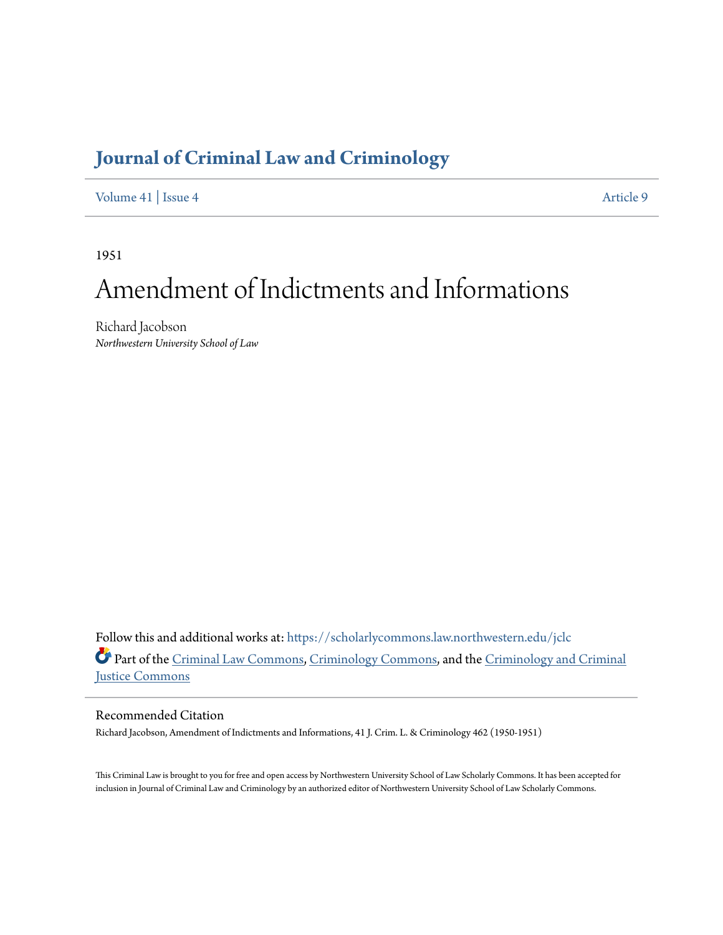## **[Journal of Criminal Law and Criminology](https://scholarlycommons.law.northwestern.edu/jclc?utm_source=scholarlycommons.law.northwestern.edu%2Fjclc%2Fvol41%2Fiss4%2F9&utm_medium=PDF&utm_campaign=PDFCoverPages)**

[Volume 41](https://scholarlycommons.law.northwestern.edu/jclc/vol41?utm_source=scholarlycommons.law.northwestern.edu%2Fjclc%2Fvol41%2Fiss4%2F9&utm_medium=PDF&utm_campaign=PDFCoverPages) | [Issue 4](https://scholarlycommons.law.northwestern.edu/jclc/vol41/iss4?utm_source=scholarlycommons.law.northwestern.edu%2Fjclc%2Fvol41%2Fiss4%2F9&utm_medium=PDF&utm_campaign=PDFCoverPages) [Article 9](https://scholarlycommons.law.northwestern.edu/jclc/vol41/iss4/9?utm_source=scholarlycommons.law.northwestern.edu%2Fjclc%2Fvol41%2Fiss4%2F9&utm_medium=PDF&utm_campaign=PDFCoverPages)

1951

## Amendment of Indictments and Informations

Richard Jacobson *Northwestern University School of Law*

Follow this and additional works at: [https://scholarlycommons.law.northwestern.edu/jclc](https://scholarlycommons.law.northwestern.edu/jclc?utm_source=scholarlycommons.law.northwestern.edu%2Fjclc%2Fvol41%2Fiss4%2F9&utm_medium=PDF&utm_campaign=PDFCoverPages) Part of the [Criminal Law Commons](http://network.bepress.com/hgg/discipline/912?utm_source=scholarlycommons.law.northwestern.edu%2Fjclc%2Fvol41%2Fiss4%2F9&utm_medium=PDF&utm_campaign=PDFCoverPages), [Criminology Commons](http://network.bepress.com/hgg/discipline/417?utm_source=scholarlycommons.law.northwestern.edu%2Fjclc%2Fvol41%2Fiss4%2F9&utm_medium=PDF&utm_campaign=PDFCoverPages), and the [Criminology and Criminal](http://network.bepress.com/hgg/discipline/367?utm_source=scholarlycommons.law.northwestern.edu%2Fjclc%2Fvol41%2Fiss4%2F9&utm_medium=PDF&utm_campaign=PDFCoverPages) [Justice Commons](http://network.bepress.com/hgg/discipline/367?utm_source=scholarlycommons.law.northwestern.edu%2Fjclc%2Fvol41%2Fiss4%2F9&utm_medium=PDF&utm_campaign=PDFCoverPages)

Recommended Citation

Richard Jacobson, Amendment of Indictments and Informations, 41 J. Crim. L. & Criminology 462 (1950-1951)

This Criminal Law is brought to you for free and open access by Northwestern University School of Law Scholarly Commons. It has been accepted for inclusion in Journal of Criminal Law and Criminology by an authorized editor of Northwestern University School of Law Scholarly Commons.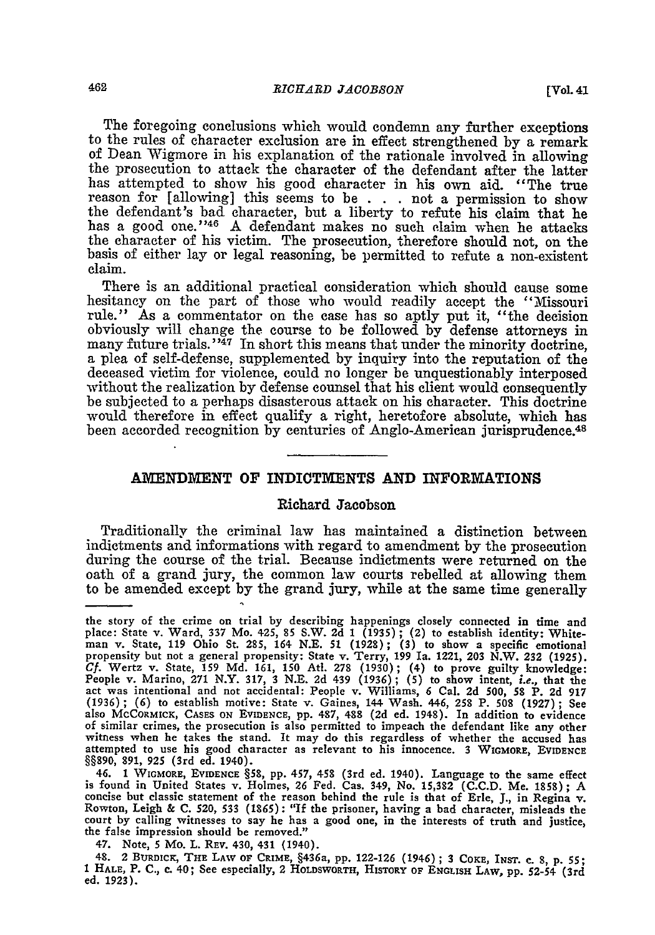The foregoing conclusions which would condemn any further exceptions to the rules of character exclusion are in effect strengthened by a remark of Dean Wigmore in his explanation of the rationale involved in allowing the prosecution to attack the character of the defendant after the latter has attempted to show his good character in his own aid. "The true reason for [allowing] this seems to be . . . not a permission to show the defendant's bad character, but a liberty to refute his claim that he has a good one."<sup>46</sup> A defendant makes no such claim when he attacks the character of his victim. The prosecution, therefore should not, on the basis of either lay or legal reasoning, be permitted to refute a non-existent claim.

There is an additional practical consideration which should cause some hesitancy on the part of those who would readily accept the "Missouri rule." As a commentator on the case has so aptly put it, "the decision obviously will change the course to be followed by defense attorneys in many future trials."<sup>47</sup> In short this means that under the minority doctrine, a plea of self-defense, supplemented by inquiry into the reputation of the deceased victim for violence, could no longer be unquestionably interposed without the realization by defense counsel that his client would consequently be subjected to a perhaps disasterous attack on his character. This doctrine would therefore in effect qualify a right, heretofore absolute, which has been accorded recognition by centuries of Anglo-American jurisprudence.<sup>48</sup>

## **AMENDMENT** OF INDICTMENTS **AND INFORMATIONS**

## Richard Jacobson

Traditionally the criminal law has maintained a distinction between indictments and informations with regard to amendment by the prosecution during the course of the trial. Because indictments were returned on the oath of a grand jury, the common law courts rebelled at allowing them to be amended except by the grand jury, while at the same time generally

the story of the crime on trial by describing happenings closely connected in time and place: State v. Ward, **337** Mo. 425, **85** S.W. **2d 1 (1935) ;** (2) to establish identity: White- man v. State, **119** Ohio St. **285,** 164 **N.E. 51 (1928); (3)** to show a specific emotional propensity but not a general propensity: State v. Terry, **199** Ia. 1221, **203** N.W. **232 (1925).** Cf. Wertz v. State, 159 Md. 161, 150 Atl. 278 (1930); (4) to prove guilty knowledge<br>People v. Marino, 271 N.Y. 317, 3 N.E. 2d 439 (1936); (5) to show intent, *i.e.*, that the<br>act was intentional and not accidental: People (1936) **; (6)** to establish motive: State v. Gaines, 144 Wash. 446, **258** P. **508 (1927) ;** See also MCCORMICK, **CASES ON EVIDENCE, pp. 487, 488 (2d** ed. 1948). In addition to evidence of similar crimes, the prosecution is also permitted to impeach the defendant like any other witness when he takes the stand. It may do this regardless of whether the accused has attempted to use his good character as relevant to his innocence. 3 WIGMORE, EVIDENCE **§§890, 891, 925** (3rd ed. 1940).

<sup>46.</sup> **1 WIGMORE, EVIDENCE §58, pp.** 457, 458 (3rd ed. 1940). Language to the same effect is found in United States v. Holmes, **26** Fed. Cas. 349, No. **15,382 (C.C.D.** Me. **1858) ; A** concise but classic statement of the reason behind the rule is that of Erle, **J.,** in Regina v. Rowton, Leigh **& C.** 520, **533 (1865):** "If the prisoner, having a bad character, misleads the court **by** calling witnesses to say he has a good one, in the interests of truth and justice, the false impression should be removed."

<sup>47.</sup> Note, **5** Mo. L. REV. 430, 431 (1940).

<sup>48. 2</sup> **BURDICK, THE LAW OF CRIME,** §436a, **pp. 122-126** (1946) **;** 3 COKE, **INST. c. 8, p. 55;** <sup>1</sup>**HALE,** P. **C.,** c. 40; See especially, 2 **HOLDSWORTH,** HISTORY **OF ENGLISH** LAW, pp. 52-54 (3rd ed. 1923).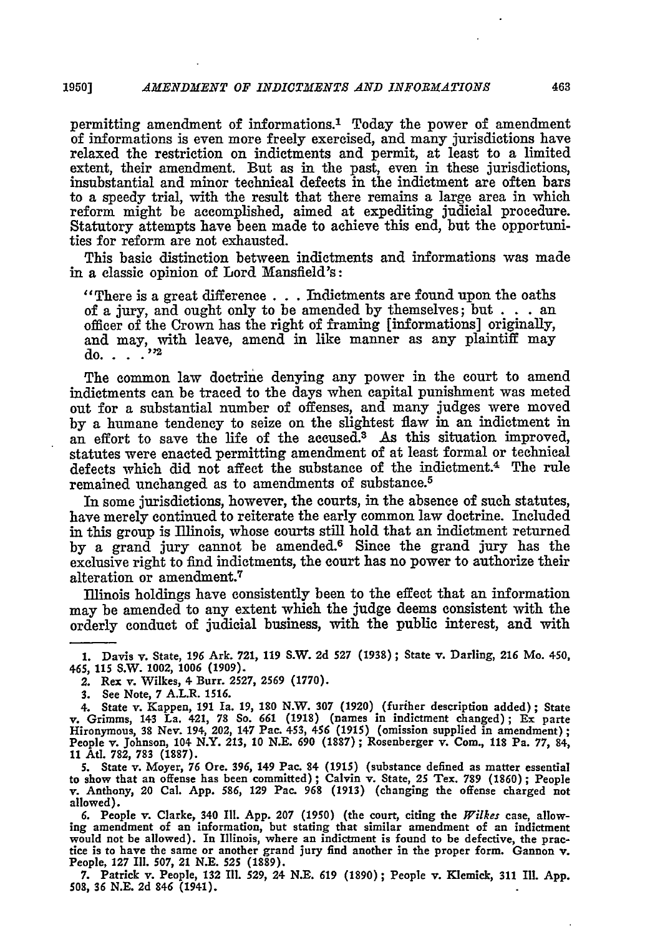permitting amendment of informations.' Today the power of amendment of informations is even more freely exercised, and many jurisdictions have relaxed the restriction on indictments and permit, at least to a limited extent, their amendment. But as in the past, even in these jurisdictions, insubstantial and minor technical defects in the indictment **arc** often bars to a speedy trial, with the result that there remains a large area in which reform might be accomplished, aimed at expediting judicial procedure. Statutory attempts have been made to achieve this end, but the opportunities for reform are not exhausted.

This basic distinction between indictments and informations was made in a classic opinion of Lord Mansfield's:

"There is a great difference **. . .**Indictments are found upon the oaths of a jury, and ought only to be amended **by** themselves; but **. . .** an officer of the Crown has the right of framing [informations] originally, and may, with leave, amend in like manner as any plaintiff may do. . **<sup>Y</sup>**2

The common law doctrine denying any power in the court to amend indictments can be traced to the days when capital punishment was meted out for a substantial number of offenses, and many judges were moved **by** a humane tendency to seize on the slightest flaw in an indictment in an effort to save the life of the accused.<sup>3</sup> As this situation improved, statutes were enacted permitting amendment of at least formal or technical defects which did not affect the substance of the indictment.4 The **rule** remained unchanged as to amendments of substance.<sup>5</sup>

In some jurisdictions, however, the courts, in the absence of such statutes, have merely continued to reiterate the early common law doctrine. Included in this group is Illinois, whose courts **still** hold that an indictment returned **by** a grand jury cannot be amended. 6 Since the grand jury has the exclusive right to find indictments, the court has no power to authorize their alteration or amendment.<sup>7</sup>

Illinois holdings have consistently been to the effect that an information may be amended to any extent which the judge deems consistent with the orderly conduct of judicial business, with the public interest, and with

**5. State v. Moyer, 76 Ore. 396, 149 Pac. 84 (1915) (substance defined as matter essential to show that an offense has been committed) ; Calvin v. State, 25 Tex. 789 (1860) ; People v. Anthony, 20 Cal. App. 586, 129 Pac. 968 (1913) (changing** the offense **charged not allowed).**

**6. People v. Clarke, 340 Ill. App. 207 (1950) (the court, citing the** *Wilkes* **case, allowing amendment of an information, but stating that similar amendment of an indictment would not be allowed). In Illinois, where an indictment is found to be defective, the practice is to have** the **same or another grand jury find another in the proper form. Gannon v. People, 127 Ill. 507, 21 N.E. 525 (1889).**

**7. Patrick v. People, 132 I1. 529, 24 N.E. 619 (1890) ; People v. Klemick, 311 Ill. App. 508, 36 N.E. 2d 846 (1941).**

**<sup>1.</sup> Davis v. State, 196 Ark. 721, 119 S.W. 2d** *527* **(1938) ; State v. Darling, 216 Mo. 450, 465, 115 S.W. 1002, 1006 (1909).**

<sup>2.</sup> Rex v. Wilkes, 4 Burr. **2527, 2569 (1770).**

**<sup>3.</sup> See Note, 7 A.L.R. 1516.**

<sup>4.</sup> State v. Kappen, 191 Ia. 19, 180 N.W. 307 (1920) (further description added); State v. Grimms, 143 La. 421, 78 So. 661 (1918) (names in indictment changed); Ex parte Hironymous, 38 Nev. 194, 202, 147 Pac. 453, 456 (1915 **People v. Johnson, 104 N.Y. 213, 10 N.E. 690 (1887); Rosenberger v. Com., 118 Pa. 77, 84, 11 Atl. 782, 783 (1887).**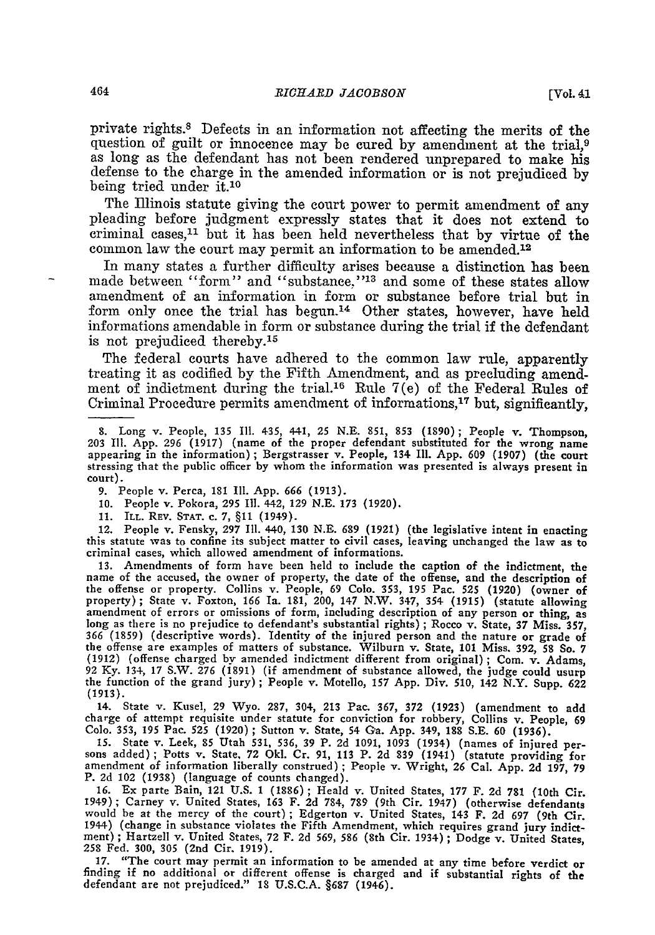private rights.8 Defects in an information not affecting the merits of the question of guilt or innocence may **be** cured **by** amendment at the trial,9 as long as the defendant has not been rendered unprepared to make his defense to the charge in the amended information or is not prejudiced **by** being tried under **it.10**

The Illinois statute giving the court power to permit amendment of any pleading before judgment expressly states that it does not extend to criminal cases,<sup>11</sup> but it has been held nevertheless that by virtue of the common law the court may permit an information to be amended.<sup>12</sup>

In many states a further difficulty arises because a distinction has been made between "form" and "substance,"<sup>13</sup> and some of these states allow amendment of an information in form or substance before trial but in form only once the trial has begun.<sup>14</sup> Other states, however, have held informations amendable in form or substance during the trial if the defendant is not prejudiced thereby.<sup>15</sup>

The federal courts have adhered to the common law rule, apparently treating it as codified by the Fifth Amendment, and as precluding amendment of indictment during the trial.16 Rule 7(e) of the Federal Rules of Criminal Procedure permits amendment of informations, $17$  but, significantly,

**9.** People v. Perca, 181 **I1.** App. 666 **(1913).**

**10.** People v. Pokora, **295 I1.** 442, 129 N.E. **173 (1920).**

11. ILL. REV. **STAT.** c. 7, **§11** (1949).

12. People v. Fensky, 297 Ill. 440, 130 N.E. 689 (1921) (the legislative intent in enacting this statute was to confine its subject matter to civil cases, leaving unchanged the law as to criminal cases, which allowed amendment of informations.

**13.** Amendments of form have been held to include the caption of the indictment, the name of the accused, the owner of property, the date of the offense, and the description of the offense or property. Collins v. People, 69 Colo. **353, 195** Pac. **525** (1920) (owner of amendment of errors or omissions of form, including description of any person or thing, as long as there is no prejudice to defendant's substantial rights); Rocco v. State, 37 Miss. 357, the offense are examples of matters of substance. Wilburn v. State, **101** Miss. 392, **58** So. 7 (1912) (offense charged by amended indictment different from original); Com. v. Adams, <sup>92</sup>**Ky.** 134, 17 S.W. **276** (1891) (if amendment of substance allowed, the judge could usurp the function of the grand jury) **;** People v. Motello, **157** App. Div. **510,** 142 N.Y. Supp. 622 (1913).

14. State v. Kusel, 29 Wyo. 287, 304, 213 Pac. 367, 372 (1923) (amendment to add charge of attempt requisite under statute for conviction for robbery, Collins v. People, 69 **Colo.** 353, **195** Pac. **525** (1920) **;** Sutton v. State, 54 Ga. App. 349, **188** S.E. **60** (1936).

**15.** State v. Leek, **85** Utah 531, 536, **39** P. **2d 1091,** 1093 (1934) (names of injured per- sons added); Potts v. State. 72 Okl. Cr. 91, 113 P. **2d** 839 (1941) (statute providing for amendment of information liberally construed) **;** People v. Wright, 26 Cal. App. **2d** 197, 79 P. **2d** 102 (1938) (language of counts changed).

16. Ex parte Bain, 121 U.S. 1 (1886) ; Heald v. United States, 177 F. **2d 781** (10th Cir. 1949) **;** Carney v. United States, 163 F. **2d** 784, 789 (9th Cir. 1947) (otherwise defendants would **be** at the mercy of the court) **;** Edgerton v. United States, 143 F. **2d** 697 (9th Cir. 1944) (change in substance violates the Fifth Amendment, which requires grand jury indictment) **;** Hartzell v. United States, 72 F. **2d** 569, **586** (8th Cir. 1934) **;** Dodge v. United States, **258** Fed. 300, **305** (2nd Cir. 1919).

17. "The court may permit an information to be amended at any time before verdict or finding if no additional or different offense is charged and if substantial rights of the defendant are not prejudiced." 18 U.S.C.A. §687 (1946).

<sup>8.</sup> Long v. People, 135 Ill. 435, 441, 25 N.E. 851, 853 (1890); People v. Thompson, 203 Ill. App. 296 (1917) (name of the proper defendant substituted for the wrong name appearing in the information); Bergstrasser v. People stressing that the public officer **by** whom the information was presented is always present in court).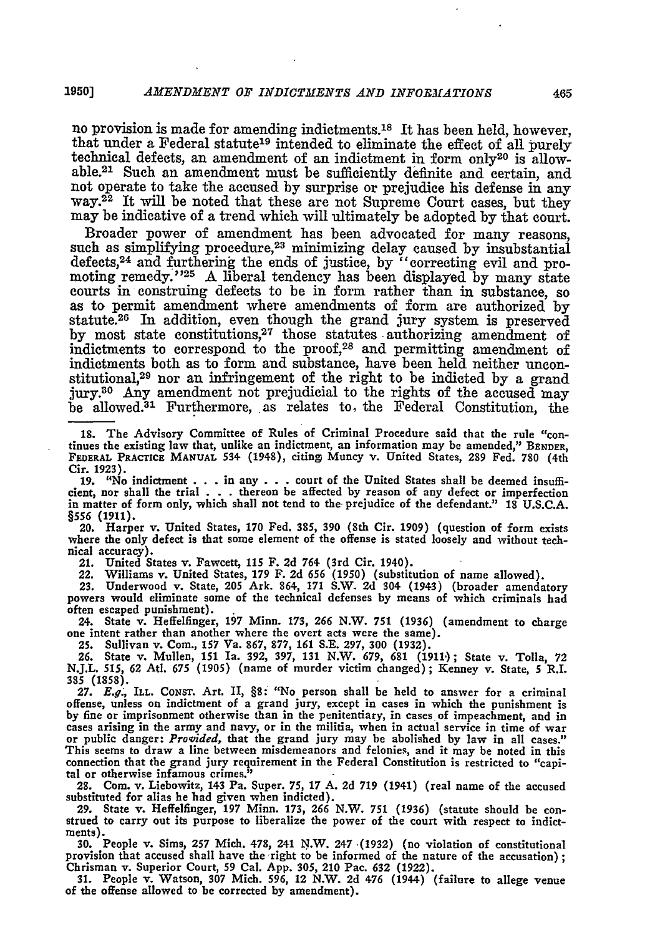no provision is made for amending indictments.<sup>18</sup> It has been held, however, that under a Federal statute<sup>19</sup> intended to eliminate the effect of all purely technical defects, an amendment of an indictment in form only<sup>20</sup> is allowable.<sup>21</sup> Such an amendment must be sufficiently definite and certain, and not operate to take the accused **by** surprise or prejudice his defense in any way.<sup>22</sup> It will be noted that these are not Supreme Court cases, but they may be indicative of a trend which will ultimately be adopted **by** that court.

Broader power of amendment has been advocated for many reasons, such as simplifying procedure,<sup>23</sup> minimizing delay caused by insubstantial defects, 24 and furthering the ends of justice, **by** "correcting evil and promoting **remedy.'25** A liberal tendency has been displayed **by** many state courts in construing defects to be in form rather than in substance, so as to permit amendment where amendments of form are authorized **by** statute.<sup>26</sup> In addition, even though the grand jury system is preserved by most state constitutions,<sup>27</sup> those statutes authorizing amendment of indictments to correspond to the proof,28 and permitting amendment of indictments both as to form and substance, have been held neither unconstitutional,<sup>29</sup> nor an infringement of the right to be indicted by a grand jury.80 **Any** amendment not prejudicial to the rights of the accused may be allowed.<sup>31</sup> Furthermore, as relates to the Federal Constitution, the

**18.** The Advisory Committee of Rules of Criminal Procedure said that the rule "continues the existing law that, unlike an indictment, an information may be amended," **BENDER,** FEDERAL PRACTICE **MANUAL 534** (1948), citing Muncy v. United States, **289** Fed. **780** (4th Cir. 1923).

19. "No indictment . . . in any . . . court of the United States shall be deemed insufficient, nor shall the trial . . . thereon be affected by reason of any defect or imperfection in matter of form only, which shall not tend to the prejudice of the defendant." **18 U.S.C.A. §556 (1911).**

20. Harper v. United States, **170** Fed. **385, 390** (8th Cir. 1909) (question of form exists where the only defect is that some element of the offense is stated loosely and without technical accuracy).

21. United States v. Fawcett, 115 F. 2d 764 (3rd Cir. 1940).<br>22. Williams v. United States, 179 F. 2d 656 (1950) (substitution of name allowed).<br>23. Underwood v. State, 205 Ark. 864, 171 S.W. 2d 304 (1943) (broader amendat often escaped punishment).

24. State v. Heffelfinger, **197** Minn. **173,** *266* N.W. **751** (1936) (amendment to charge one intent rather than another where the overt acts were the same).

25. Sullivan v. Com., 157 Va. 867, 877, 161 S.E. 297, 300 (1932).<br>26. State v. Mullen, 151 Ia. 392, 397, 131 N.W. 679, 681 (1911); State v. Tolla, 72<br>N.J.L. 515, 62 Atl. 675 (1905) (name of murder victim changed); Kenney v **3S5 (1858).**

**27.** *E.g.,* ILL. CoNsT. Art. II, **§8-** "No person shall be held to answer for a criminal offense, unless on indictment of a grand jury, except in cases in which the punishment is **by** fine or imprisonment otherwise than in the penitentiary, in cases of impeachment, and in cases arising in the army and navy, or in the militia, when in actual service in time of war or public danger: *Provided,* that the grand jury may be abolished **by** law in all cases." This seems to draw a line between misdemeanors and felonies, and it may be noted in this connection that the grand jury requirement in the Federal Constitution is restricted to "capital or otherwise infamous crimes."

28. Com. v. Liebowitz, 143 Pa. Super. **75, 17 A.** 2d **719** (1941) (real name of the accused substituted for alias he had given when indicted).

29. State v. Heffelfinger, 197 Minn. **173, 266** N.W. **751** (1936) (statute should be con- strued to carry out its purpose to liberalize the power of the court with respect to indictstrued to carry out its purpose to liberalize the power of the court with respect to indict-<br>ments).

**30.** People v. Sims, **257** Mich. **478,** 241 N.W. 247 .(1932) (no violation of constitutional provision that accused shall have the right to be informed of the nature of the accusation); Chrisman v. Superior Court, 59 Cal. **App. 305,** 210 Pac. **632 (1922). 31.** People v. Watson, **307** Mich. **596,** 12 N.W. **2d** 476 (1944) (failure to allege venue

of the offense allowed to be corrected **by** amendment).